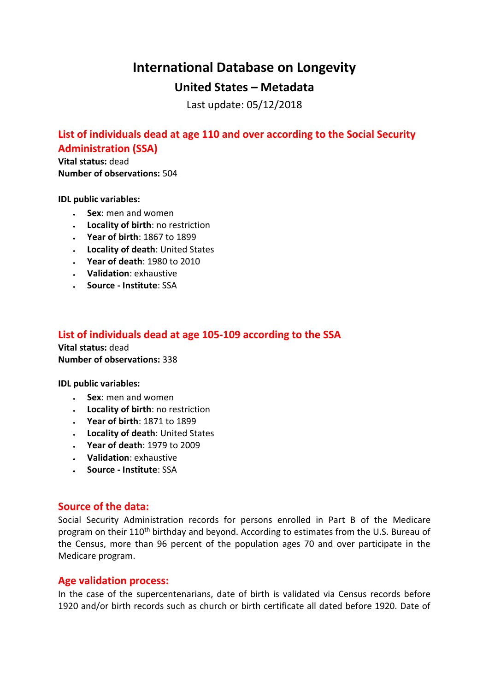# **International Database on Longevity**

## **United States – Metadata**

Last update: 05/12/2018

## **List of individuals dead at age 110 and over according to the Social Security Administration (SSA)**

**Vital status:** dead **Number of observations:** 504

**IDL public variables:** 

- **Sex**: men and women
- **Locality of birth**: no restriction
- **Year of birth**: 1867 to 1899
- **Locality of death**: United States
- **Year of death**: 1980 to 2010
- **Validation**: exhaustive
- **Source - Institute**: SSA

### **List of individuals dead at age 105-109 according to the SSA**

**Vital status:** dead **Number of observations:** 338

**IDL public variables:** 

- **Sex**: men and women
- **Locality of birth**: no restriction
- **Year of birth**: 1871 to 1899
- **Locality of death**: United States
- **Year of death**: 1979 to 2009
- **Validation**: exhaustive
- **Source - Institute**: SSA

#### **Source of the data:**

Social Security Administration records for persons enrolled in Part B of the Medicare program on their 110<sup>th</sup> birthday and beyond. According to estimates from the U.S. Bureau of the Census, more than 96 percent of the population ages 70 and over participate in the Medicare program.

### **Age validation process:**

In the case of the supercentenarians, date of birth is validated via Census records before 1920 and/or birth records such as church or birth certificate all dated before 1920. Date of